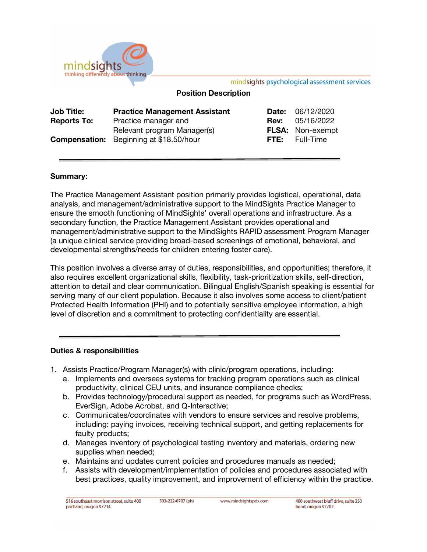

mindsights psychological assessment services

# **Position Description**

| <b>Job Title:</b>  | <b>Practice Management Assistant</b>           | <b>Date: 06/12/2020</b> |
|--------------------|------------------------------------------------|-------------------------|
| <b>Reports To:</b> | Practice manager and                           | <b>Rev:</b> 05/16/2022  |
|                    | Relevant program Manager(s)                    | <b>FLSA:</b> Non-exempt |
|                    | <b>Compensation:</b> Beginning at \$18.50/hour | <b>FTE:</b> Full-Time   |

# **Summary:**

The Practice Management Assistant position primarily provides logistical, operational, data analysis, and management/administrative support to the MindSights Practice Manager to ensure the smooth functioning of MindSights' overall operations and infrastructure. As a secondary function, the Practice Management Assistant provides operational and management/administrative support to the MindSights RAPID assessment Program Manager (a unique clinical service providing broad-based screenings of emotional, behavioral, and developmental strengths/needs for children entering foster care).

This position involves a diverse array of duties, responsibilities, and opportunities; therefore, it also requires excellent organizational skills, flexibility, task-prioritization skills, self-direction, attention to detail and clear communication. Bilingual English/Spanish speaking is essential for serving many of our client population. Because it also involves some access to client/patient Protected Health Information (PHI) and to potentially sensitive employee information, a high level of discretion and a commitment to protecting confidentiality are essential.

### **Duties & responsibilities**

- 1. Assists Practice/Program Manager(s) with clinic/program operations, including:
	- a. Implements and oversees systems for tracking program operations such as clinical productivity, clinical CEU units, and insurance compliance checks;
	- b. Provides technology/procedural support as needed, for programs such as WordPress, EverSign, Adobe Acrobat, and Q-Interactive;
	- c. Communicates/coordinates with vendors to ensure services and resolve problems, including: paying invoices, receiving technical support, and getting replacements for faulty products;
	- d. Manages inventory of psychological testing inventory and materials, ordering new supplies when needed;
	- e. Maintains and updates current policies and procedures manuals as needed;
	- f. Assists with development/implementation of policies and procedures associated with best practices, quality improvement, and improvement of efficiency within the practice.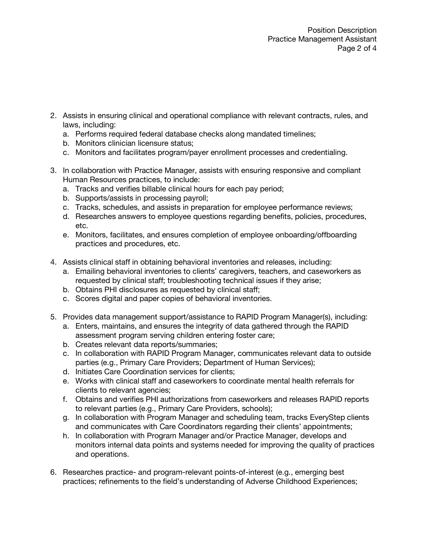- 2. Assists in ensuring clinical and operational compliance with relevant contracts, rules, and laws, including:
	- a. Performs required federal database checks along mandated timelines;
	- b. Monitors clinician licensure status;
	- c. Monitors and facilitates program/payer enrollment processes and credentialing.
- 3. In collaboration with Practice Manager, assists with ensuring responsive and compliant Human Resources practices, to include:
	- a. Tracks and verifies billable clinical hours for each pay period;
	- b. Supports/assists in processing payroll;
	- c. Tracks, schedules, and assists in preparation for employee performance reviews;
	- d. Researches answers to employee questions regarding benefits, policies, procedures, etc.
	- e. Monitors, facilitates, and ensures completion of employee onboarding/offboarding practices and procedures, etc.
- 4. Assists clinical staff in obtaining behavioral inventories and releases, including:
	- a. Emailing behavioral inventories to clients' caregivers, teachers, and caseworkers as requested by clinical staff; troubleshooting technical issues if they arise;
	- b. Obtains PHI disclosures as requested by clinical staff;
	- c. Scores digital and paper copies of behavioral inventories.
- 5. Provides data management support/assistance to RAPID Program Manager(s), including:
	- a. Enters, maintains, and ensures the integrity of data gathered through the RAPID assessment program serving children entering foster care;
	- b. Creates relevant data reports/summaries;
	- c. In collaboration with RAPID Program Manager, communicates relevant data to outside parties (e.g., Primary Care Providers; Department of Human Services);
	- d. Initiates Care Coordination services for clients;
	- e. Works with clinical staff and caseworkers to coordinate mental health referrals for clients to relevant agencies;
	- f. Obtains and verifies PHI authorizations from caseworkers and releases RAPID reports to relevant parties (e.g., Primary Care Providers, schools);
	- g. In collaboration with Program Manager and scheduling team, tracks EveryStep clients and communicates with Care Coordinators regarding their clients' appointments;
	- h. In collaboration with Program Manager and/or Practice Manager, develops and monitors internal data points and systems needed for improving the quality of practices and operations.
- 6. Researches practice- and program-relevant points-of-interest (e.g., emerging best practices; refinements to the field's understanding of Adverse Childhood Experiences;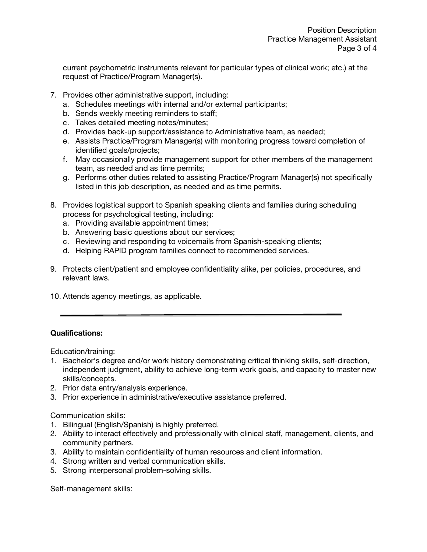current psychometric instruments relevant for particular types of clinical work; etc.) at the request of Practice/Program Manager(s).

- 7. Provides other administrative support, including:
	- a. Schedules meetings with internal and/or external participants;
	- b. Sends weekly meeting reminders to staff;
	- c. Takes detailed meeting notes/minutes;
	- d. Provides back-up support/assistance to Administrative team, as needed;
	- e. Assists Practice/Program Manager(s) with monitoring progress toward completion of identified goals/projects;
	- f. May occasionally provide management support for other members of the management team, as needed and as time permits;
	- g. Performs other duties related to assisting Practice/Program Manager(s) not specifically listed in this job description, as needed and as time permits.
- 8. Provides logistical support to Spanish speaking clients and families during scheduling process for psychological testing, including:
	- a. Providing available appointment times;
	- b. Answering basic questions about our services;
	- c. Reviewing and responding to voicemails from Spanish-speaking clients;
	- d. Helping RAPID program families connect to recommended services.
- 9. Protects client/patient and employee confidentiality alike, per policies, procedures, and relevant laws.
- 10. Attends agency meetings, as applicable.

# **Qualifications:**

Education/training:

- 1. Bachelor's degree and/or work history demonstrating critical thinking skills, self-direction, independent judgment, ability to achieve long-term work goals, and capacity to master new skills/concepts.
- 2. Prior data entry/analysis experience.
- 3. Prior experience in administrative/executive assistance preferred.

Communication skills:

- 1. Bilingual (English/Spanish) is highly preferred.
- 2. Ability to interact effectively and professionally with clinical staff, management, clients, and community partners.
- 3. Ability to maintain confidentiality of human resources and client information.
- 4. Strong written and verbal communication skills.
- 5. Strong interpersonal problem-solving skills.

Self-management skills: